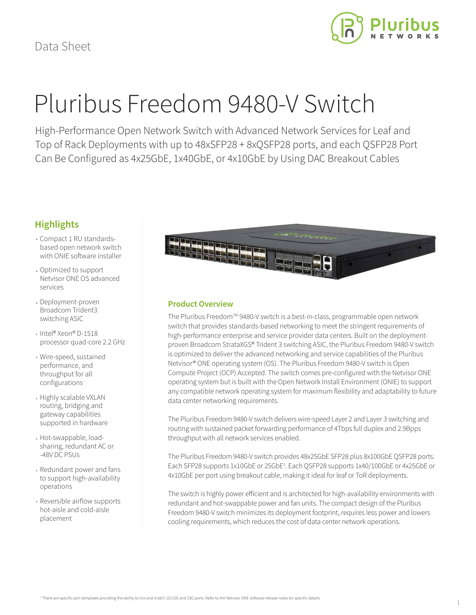

# Pluribus Freedom 9480-V Switch

High-Performance Open Network Switch with Advanced Network Services for Leaf and Top of Rack Deployments with up to 48xSFP28 + 8xQSFP28 ports, and each QSFP28 Port Can Be Configured as 4x25GbE, 1x40GbE, or 4x10GbE by Using DAC Breakout Cables

## **Highlights**

- Compact 1 RU standardsbased open network switch with ONIE software installer
- Optimized to support Netvisor ONE OS advanced services
- Deployment-proven Broadcom Trident3 switching ASIC
- Intel® Xeon® D-1518 processor quad-core 2.2 GHz
- Wire-speed, sustained performance, and throughput for all configurations
- Highly scalable VXLAN routing, bridging and gateway capabilities supported in hardware
- Hot-swappable, loadsharing, redundant AC or -48V DC PSUs
- Redundant power and fans to support high-availability operations
- Reversible airflow supports hot-aisle and cold-aisle placement



### **Product Overview**

The Pluribus Freedom™ 9480-V switch is a best-in-class, programmable open network switch that provides standards-based networking to meet the stringent requirements of high-performance enterprise and service provider data centers. Built on the deploymentproven Broadcom StrataXGS® Trident 3 switching ASIC, the Pluribus Freedom 9480-V switch is optimized to deliver the advanced networking and service capabilities of the Pluribus Netvisor® ONE operating system (OS). The Pluribus Freedom 9480-V switch is Open Compute Project (OCP) Accepted. The switch comes pre-configured with the Netvisor ONE operating system but is built with the Open Network Install Environment (ONIE) to support any compatible network operating system for maximum flexibility and adaptability to future data center networking requirements.

The Pluribus Freedom 9480-V switch delivers wire-speed Layer 2 and Layer 3 switching and routing with sustained packet forwarding performance of 4Tbps full duplex and 2.9Bpps throughput with all network services enabled.

The Pluribus Freedom 9480-V switch provides 48x25GbE SFP28 plus 8x100GbE QSFP28 ports. Each SFP28 supports 1x10GbE or 25GbE<sup>1</sup>. Each QSFP28 supports 1x40/100GbE or 4x25GbE or 4x10GbE per port using breakout cable, making it ideal for leaf or ToR deployments.

The switch is highly power efficient and is architected for high-availability environments with redundant and hot-swappable power and fan units. The compact design of the Pluribus Freedom 9480-V switch minimizes its deployment footprint, requires less power and lowers cooling requirements, which reduces the cost of data center network operations.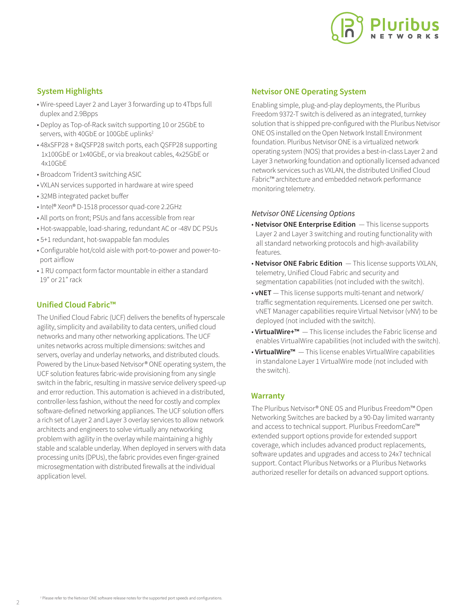

### **System Highlights**

- Wire-speed Layer 2 and Layer 3 forwarding up to 4Tbps full duplex and 2.9Bpps
- Deploy as Top-of-Rack switch supporting 10 or 25GbE to servers, with 40GbE or 100GbE uplinks<sup>2</sup>
- 48xSFP28 + 8xQSFP28 switch ports, each QSFP28 supporting 1x100GbE or 1x40GbE, or via breakout cables, 4x25GbE or 4x10GbE
- Broadcom Trident3 switching ASIC
- VXLAN services supported in hardware at wire speed
- 32MB integrated packet buffer
- Intel® Xeon® D-1518 processor quad-core 2.2GHz
- All ports on front; PSUs and fans accessible from rear
- Hot-swappable, load-sharing, redundant AC or -48V DC PSUs
- 5+1 redundant, hot-swappable fan modules
- Configurable hot/cold aisle with port-to-power and power-to port airflow
- 1 RU compact form factor mountable in either a standard 19" or 21" rack

#### **Unified Cloud Fabric™**

The Unified Cloud Fabric (UCF) delivers the benefits of hyperscale agility, simplicity and availability to data centers, unified cloud networks and many other networking applications. The UCF unites networks across multiple dimensions: switches and servers, overlay and underlay networks, and distributed clouds. Powered by the Linux-based Netvisor® ONE operating system, the UCF solution features fabric-wide provisioning from any single switch in the fabric, resulting in massive service delivery speed-up and error reduction. This automation is achieved in a distributed, controller-less fashion, without the need for costly and complex software-defined networking appliances. The UCF solution offers a rich set of Layer 2 and Layer 3 overlay services to allow network architects and engineers to solve virtually any networking problem with agility in the overlay while maintaining a highly stable and scalable underlay. When deployed in servers with data processing units (DPUs), the fabric provides even finger-grained microsegmentation with distributed firewalls at the individual application level.

#### **Netvisor ONE Operating System**

Enabling simple, plug-and-play deployments, the Pluribus Freedom 9372-T switch is delivered as an integrated, turnkey solution that is shipped pre-configured with the Pluribus Netvisor ONE OS installed on the Open Network Install Environment foundation. Pluribus Netvisor ONE is a virtualized network operating system (NOS) that provides a best-in-class Layer 2 and Layer 3 networking foundation and optionally licensed advanced network services such as VXLAN, the distributed Unified Cloud Fabric™ architecture and embedded network performance monitoring telemetry.

#### *Netvisor ONE Licensing Options*

- **Netvisor ONE Enterprise Edition**  This license supports Layer 2 and Layer 3 switching and routing functionality with all standard networking protocols and high-availability features.
- **Netvisor ONE Fabric Edition**  This license supports VXLAN, telemetry, Unified Cloud Fabric and security and segmentation capabilities (not included with the switch).
- **vNET**  This license supports multi-tenant and network/ traffic segmentation requirements. Licensed one per switch. vNET Manager capabilities require Virtual Netvisor (vNV) to be deployed (not included with the switch).
- **VirtualWire+™**  This license includes the Fabric license and enables VirtualWire capabilities (not included with the switch).
- **VirtualWire™**  This license enables VirtualWire capabilities in standalone Layer 1 VirtualWire mode (not included with the switch).

#### **Warranty**

The Pluribus Netvisor® ONE OS and Pluribus Freedom™ Open Networking Switches are backed by a 90-Day limited warranty and access to technical support. Pluribus FreedomCare™ extended support options provide for extended support coverage, which includes advanced product replacements, software updates and upgrades and access to 24x7 technical support. Contact Pluribus Networks or a Pluribus Networks authorized reseller for details on advanced support options.